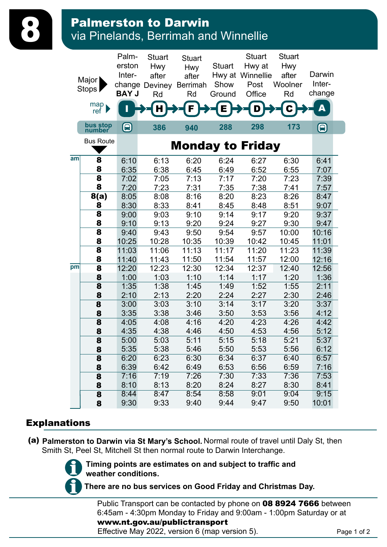## **Palmerston to Darwin<br>8 Via Pinelands, Berrimah and Winnellie**

|    | Major<br>Stops<br>map<br>ref l | Palm-<br>erston<br>Inter-<br><b>BAY J</b> | <b>Stuart</b><br><b>Hwy</b><br>after<br>change Deviney<br>Rd | <b>Stuart</b><br><b>Hwy</b><br>after<br><b>Berrimah</b><br>Rd | <b>Stuart</b><br>Show<br>Ground<br>Ē | <b>Stuart</b><br>Hwy at<br>Hwy at Winnellie<br>Post<br>Office<br>D | <b>Stuart</b><br><b>Hwy</b><br>after<br>Woolner<br>Rd | Darwin<br>Inter-<br>change<br>Δ |
|----|--------------------------------|-------------------------------------------|--------------------------------------------------------------|---------------------------------------------------------------|--------------------------------------|--------------------------------------------------------------------|-------------------------------------------------------|---------------------------------|
|    | bus stop<br>number             |                                           | 386                                                          | 940                                                           | 288                                  | 298                                                                | 173                                                   | 8                               |
|    | <b>Bus Route</b>               |                                           |                                                              | <b>Monday to Friday</b>                                       |                                      |                                                                    |                                                       |                                 |
| am | 8                              | 6:10                                      | 6:13                                                         | 6:20                                                          | 6:24                                 | 6:27                                                               | 6:30                                                  | 6:41                            |
|    | 8                              | 6:35                                      | 6:38                                                         | 6:45                                                          | 6:49                                 | 6:52                                                               | 6:55                                                  | 7:07                            |
|    | 8                              | 7:02                                      | 7:05                                                         | 7:13                                                          | 7:17                                 | 7:20                                                               | 7:23                                                  | 7:39                            |
|    | 8                              | 7:20                                      | 7:23                                                         | 7:31                                                          | 7:35                                 | 7:38                                                               | 7:41                                                  | 7:57                            |
|    | 8(a)                           | 8:05                                      | 8:08                                                         | 8:16                                                          | 8:20                                 | 8:23                                                               | 8:26                                                  | 8:47                            |
|    | 8                              | 8:30                                      | 8:33                                                         | 8:41                                                          | 8:45                                 | 8:48                                                               | 8:51                                                  | 9:07                            |
|    | 8                              | 9:00                                      | 9:03                                                         | 9:10                                                          | 9:14                                 | 9:17                                                               | 9:20                                                  | 9:37                            |
|    | 8                              | 9:10                                      | 9:13                                                         | 9:20                                                          | 9:24                                 | 9:27                                                               | 9:30                                                  | 9:47                            |
|    | 8                              | 9:40                                      | 9:43                                                         | 9:50                                                          | 9:54                                 | 9:57                                                               | 10:00                                                 | 10:16                           |
|    | 8                              | 10:25                                     | 10:28                                                        | 10:35                                                         | 10:39                                | 10:42                                                              | 10:45                                                 | 11:01                           |
|    | 8<br>8                         | 11:03                                     | 11:06                                                        | 11:13                                                         | 11:17                                | 11:20                                                              | 11:23                                                 | 11:39                           |
| pm | 8                              | 11:40<br>12:20                            | 11:43<br>12:23                                               | 11:50<br>12:30                                                | 11:54<br>12:34                       | 11:57<br>12:37                                                     | 12:00<br>12:40                                        | 12:16<br>12:56                  |
|    | 8                              | 1:00                                      | 1:03                                                         | 1:10                                                          | 1:14                                 | 1:17                                                               | 1:20                                                  | 1:36                            |
|    | 8                              | 1:35                                      | 1:38                                                         | 1:45                                                          | 1:49                                 | 1:52                                                               | 1:55                                                  | 2:11                            |
|    | 8                              | 2:10                                      | 2:13                                                         | 2:20                                                          | 2:24                                 | 2:27                                                               | 2:30                                                  | 2:46                            |
|    | 8                              | 3:00                                      | 3:03                                                         | 3:10                                                          | 3:14                                 | 3:17                                                               | 3:20                                                  | 3:37                            |
|    | 8                              | 3:35                                      | 3:38                                                         | 3:46                                                          | 3:50                                 | 3:53                                                               | 3:56                                                  | 4:12                            |
|    | 8                              | 4:05                                      | 4:08                                                         | 4:16                                                          | 4:20                                 | 4:23                                                               | 4:26                                                  | 4:42                            |
|    | 8                              | 4:35                                      | 4:38                                                         | 4:46                                                          | 4:50                                 | 4:53                                                               | 4:56                                                  | 5:12                            |
|    | 8                              | 5:00                                      | 5:03                                                         | 5:11                                                          | 5:15                                 | 5:18                                                               | 5:21                                                  | 5:37                            |
|    | 8                              | 5:35                                      | 5:38                                                         | 5:46                                                          | 5:50                                 | 5:53                                                               | 5:56                                                  | 6:12                            |
|    | 8                              | 6:20                                      | 6:23                                                         | 6:30                                                          | 6:34                                 | 6:37                                                               | 6:40                                                  | 6:57                            |
|    | 8                              | 6:39                                      | 6:42                                                         | 6:49                                                          | 6:53                                 | 6:56                                                               | 6:59                                                  | 7:16                            |
|    | 8                              | 7:16                                      | 7:19                                                         | 7:26                                                          | 7:30                                 | 7:33                                                               | 7:36                                                  | 7:53                            |
|    | 8                              | 8:10                                      | 8:13                                                         | 8:20                                                          | 8:24                                 | 8:27                                                               | 8:30                                                  | 8:41                            |
|    | 8                              | 8:44                                      | 8:47                                                         | 8:54                                                          | 8:58                                 | 9:01                                                               | 9:04                                                  | 9:15                            |
|    | 8                              | 9:30                                      | 9:33                                                         | 9:40                                                          | 9:44                                 | 9:47                                                               | 9:50                                                  | 10:01                           |

## Explanations

(a) **Palmerston to Darwin via St Mary's School.** Normal route of travel until Daly St, then Smith St, Peel St, Mitchell St then normal route to Darwin Interchange.



**Timing points are estimates on and subject to traffic and weather conditions.**

**There are no bus services on Good Friday and Christmas Day.**

Public Transport can be contacted by phone on 08 8924 7666 between 6:45am - 4:30pm Monday to Friday and 9:00am - 1:00pm Saturday or at www.nt.gov.au/publictransport

Effective May 2022, version 6 (map version 5).